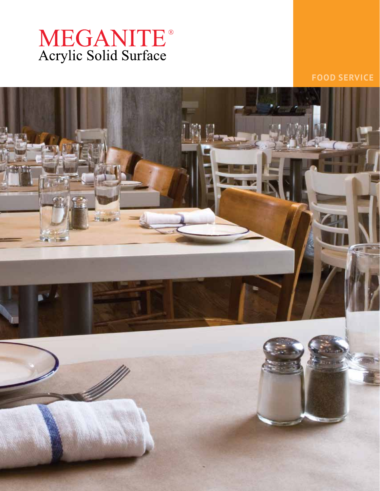# MEGANITE®<br>Acrylic Solid Surface

**FOOD SERVICE**

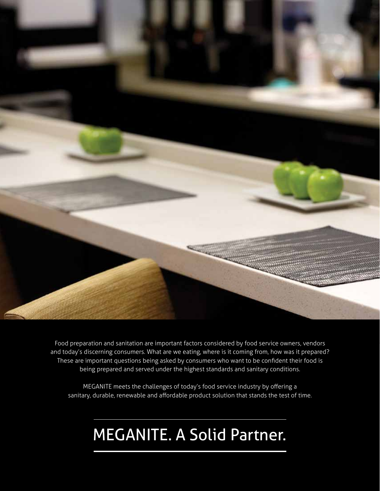

Food preparation and sanitation are important factors considered by food service owners, vendors and today's discerning consumers. What are we eating, where is it coming from, how was it prepared? These are important questions being asked by consumers who want to be confident their food is being prepared and served under the highest standards and sanitary conditions.

MEGANITE meets the challenges of today's food service industry by offering a sanitary, durable, renewable and affordable product solution that stands the test of time.

## MEGANITE. A Solid Partner.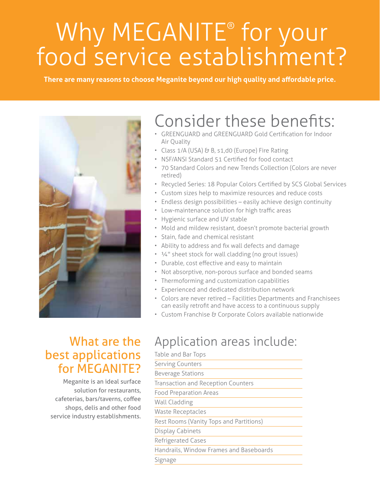## Why MEGANITE® for your food service establishment?

**There are many reasons to choose Meganite beyond our high quality and affordable price.** 



## Consider these benefits:

- GREENGUARD and GREENGUARD Gold Certification for Indoor Air Quality
- Class 1/A (USA) & B, s1,d0 (Europe) Fire Rating
- NSF/ANSI Standard 51 Certified for food contact
- 70 Standard Colors and new Trends Collection (Colors are never retired)
- Recycled Series: 18 Popular Colors Certified by SCS Global Services
- Custom sizes help to maximize resources and reduce costs
- Endless design possibilities easily achieve design continuity
- Low-maintenance solution for high traffic areas
- Hygienic surface and UV stable
- Mold and mildew resistant, doesn't promote bacterial growth
- Stain, fade and chemical resistant
- Ability to address and fix wall defects and damage
- ¼" sheet stock for wall cladding (no grout issues)
- Durable, cost effective and easy to maintain
- Not absorptive, non-porous surface and bonded seams
- Thermoforming and customization capabilities
- Experienced and dedicated distribution network
- Colors are never retired Facilities Departments and Franchisees can easily retrofit and have access to a continuous supply
- Custom Franchise & Corporate Colors available nationwide

#### What are the best applications for MEGANITE?

Meganite is an ideal surface solution for restaurants, cafeterias, bars/taverns, coffee shops, delis and other food service industry establishments.

### Application areas include:

Table and Bar Tops

| <b>Serving Counters</b>                 |
|-----------------------------------------|
| <b>Beverage Stations</b>                |
| Transaction and Reception Counters      |
| <b>Food Preparation Areas</b>           |
| Wall Cladding                           |
| <b>Waste Receptacles</b>                |
| Rest Rooms (Vanity Tops and Partitions) |
| Display Cabinets                        |
| Refrigerated Cases                      |
| Handrails, Window Frames and Baseboards |
| Signage                                 |
|                                         |